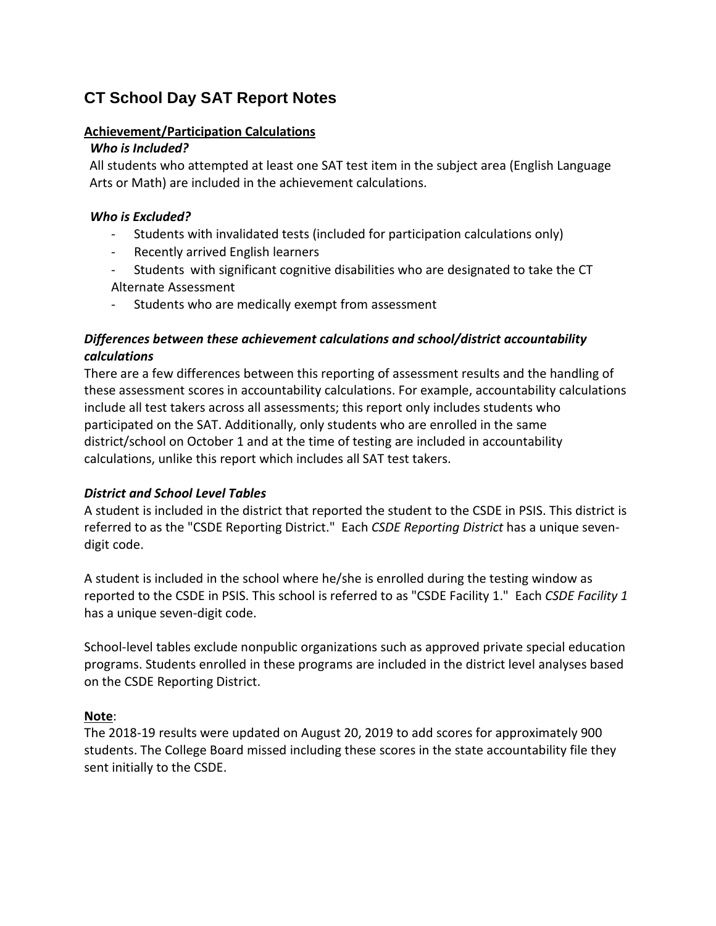# **CT School Day SAT Report Notes**

### **Achievement/Participation Calculations**

### *Who is Included?*

All students who attempted at least one SAT test item in the subject area (English Language Arts or Math) are included in the achievement calculations.

### *Who is Excluded?*

- Students with invalidated tests (included for participation calculations only)
- Recently arrived English learners
- Students with significant cognitive disabilities who are designated to take the CT
- Alternate Assessment
- Students who are medically exempt from assessment

## *Differences between these achievement calculations and school/district accountability calculations*

There are a few differences between this reporting of assessment results and the handling of these assessment scores in accountability calculations. For example, accountability calculations include all test takers across all assessments; this report only includes students who participated on the SAT. Additionally, only students who are enrolled in the same district/school on October 1 and at the time of testing are included in accountability calculations, unlike this report which includes all SAT test takers.

### *District and School Level Tables*

A student is included in the district that reported the student to the CSDE in PSIS. This district is referred to as the "CSDE Reporting District." Each *CSDE Reporting District* has a unique sevendigit code.

A student is included in the school where he/she is enrolled during the testing window as reported to the CSDE in PSIS. This school is referred to as "CSDE Facility 1." Each *CSDE Facility 1*  has a unique seven-digit code.

School-level tables exclude nonpublic organizations such as approved private special education programs. Students enrolled in these programs are included in the district level analyses based on the CSDE Reporting District.

### **Note**:

The 2018-19 results were updated on August 20, 2019 to add scores for approximately 900 students. The College Board missed including these scores in the state accountability file they sent initially to the CSDE.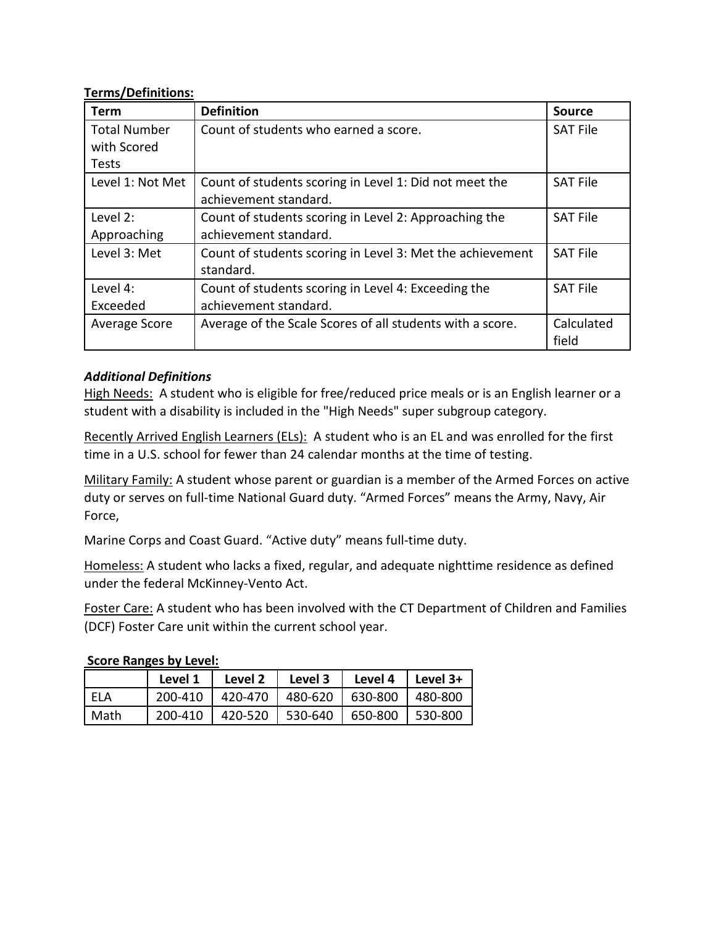### **Terms/Definitions:**

| <b>Term</b>         | <b>Definition</b>                                         | <b>Source</b>   |
|---------------------|-----------------------------------------------------------|-----------------|
| <b>Total Number</b> | Count of students who earned a score.                     | <b>SAT File</b> |
| with Scored         |                                                           |                 |
| Tests               |                                                           |                 |
| Level 1: Not Met    | Count of students scoring in Level 1: Did not meet the    | <b>SAT File</b> |
|                     | achievement standard.                                     |                 |
| Level 2:            | Count of students scoring in Level 2: Approaching the     | <b>SAT File</b> |
| Approaching         | achievement standard.                                     |                 |
| Level 3: Met        | Count of students scoring in Level 3: Met the achievement | <b>SAT File</b> |
|                     | standard.                                                 |                 |
| Level 4:            | Count of students scoring in Level 4: Exceeding the       | <b>SAT File</b> |
| Exceeded            | achievement standard.                                     |                 |
| Average Score       | Average of the Scale Scores of all students with a score. | Calculated      |
|                     |                                                           | field           |

## *Additional Definitions*

High Needs: A student who is eligible for free/reduced price meals or is an English learner or a student with a disability is included in the "High Needs" super subgroup category.

Recently Arrived English Learners (ELs): A student who is an EL and was enrolled for the first time in a U.S. school for fewer than 24 calendar months at the time of testing.

Military Family: A student whose parent or guardian is a member of the Armed Forces on active duty or serves on full-time National Guard duty. "Armed Forces" means the Army, Navy, Air Force,

Marine Corps and Coast Guard. "Active duty" means full-time duty.

Homeless: A student who lacks a fixed, regular, and adequate nighttime residence as defined under the federal McKinney-Vento Act.

Foster Care: A student who has been involved with the CT Department of Children and Families (DCF) Foster Care unit within the current school year.

## **Score Ranges by Level:**

|        | Level 1 | Level 2 | Level 3                     | l Level 4 | l Level 3+ |
|--------|---------|---------|-----------------------------|-----------|------------|
| ' ELA  | 200-410 |         | 420-470   480-620   630-800 |           | l 480-800  |
| l Math | 200-410 | 420-520 | 530-640                     | 650-800   | 530-800    |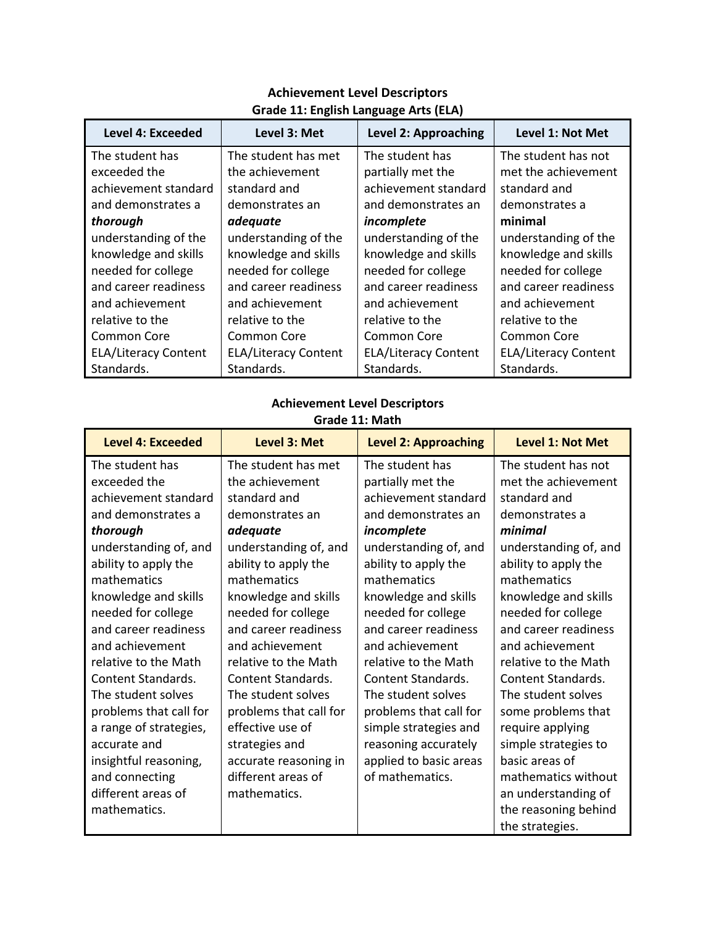| <b>Level 4: Exceeded</b>    | Level 3: Met                | Level 2: Approaching        | Level 1: Not Met            |
|-----------------------------|-----------------------------|-----------------------------|-----------------------------|
| The student has             | The student has met         | The student has             | The student has not         |
| exceeded the                | the achievement             | partially met the           | met the achievement         |
| achievement standard        | standard and                | achievement standard        | standard and                |
| and demonstrates a          | demonstrates an             | and demonstrates an         | demonstrates a              |
| thorough                    | adequate                    | incomplete                  | minimal                     |
| understanding of the        | understanding of the        | understanding of the        | understanding of the        |
| knowledge and skills        | knowledge and skills        | knowledge and skills        | knowledge and skills        |
| needed for college          | needed for college          | needed for college          | needed for college          |
| and career readiness        | and career readiness        | and career readiness        | and career readiness        |
| and achievement             | and achievement             | and achievement             | and achievement             |
| relative to the             | relative to the             | relative to the             | relative to the             |
| Common Core                 | Common Core                 | Common Core                 | <b>Common Core</b>          |
| <b>ELA/Literacy Content</b> | <b>ELA/Literacy Content</b> | <b>ELA/Literacy Content</b> | <b>ELA/Literacy Content</b> |
| Standards.                  | Standards.                  | Standards.                  | Standards.                  |

## **Achievement Level Descriptors Grade 11: English Language Arts (ELA)**

## **Achievement Level Descriptors**

#### **Grade 11: Math**

| <b>Level 4: Exceeded</b>  | Level 3: Met              | <b>Level 2: Approaching</b> | <b>Level 1: Not Met</b>   |
|---------------------------|---------------------------|-----------------------------|---------------------------|
| The student has           | The student has met       | The student has             | The student has not       |
| exceeded the              | the achievement           | partially met the           | met the achievement       |
| achievement standard      | standard and              | achievement standard        | standard and              |
| and demonstrates a        | demonstrates an           | and demonstrates an         | demonstrates a            |
| thorough                  | adequate                  | incomplete                  | minimal                   |
| understanding of, and     | understanding of, and     | understanding of, and       | understanding of, and     |
| ability to apply the      | ability to apply the      | ability to apply the        | ability to apply the      |
| mathematics               | mathematics               | mathematics                 | mathematics               |
| knowledge and skills      | knowledge and skills      | knowledge and skills        | knowledge and skills      |
| needed for college        | needed for college        | needed for college          | needed for college        |
| and career readiness      | and career readiness      | and career readiness        | and career readiness      |
| and achievement           | and achievement           | and achievement             | and achievement           |
| relative to the Math      | relative to the Math      | relative to the Math        | relative to the Math      |
| <b>Content Standards.</b> | <b>Content Standards.</b> | <b>Content Standards.</b>   | <b>Content Standards.</b> |
| The student solves        | The student solves        | The student solves          | The student solves        |
| problems that call for    | problems that call for    | problems that call for      | some problems that        |
| a range of strategies,    | effective use of          | simple strategies and       | require applying          |
| accurate and              | strategies and            | reasoning accurately        | simple strategies to      |
| insightful reasoning,     | accurate reasoning in     | applied to basic areas      | basic areas of            |
| and connecting            | different areas of        | of mathematics.             | mathematics without       |
| different areas of        | mathematics.              |                             | an understanding of       |
| mathematics.              |                           |                             | the reasoning behind      |
|                           |                           |                             | the strategies.           |